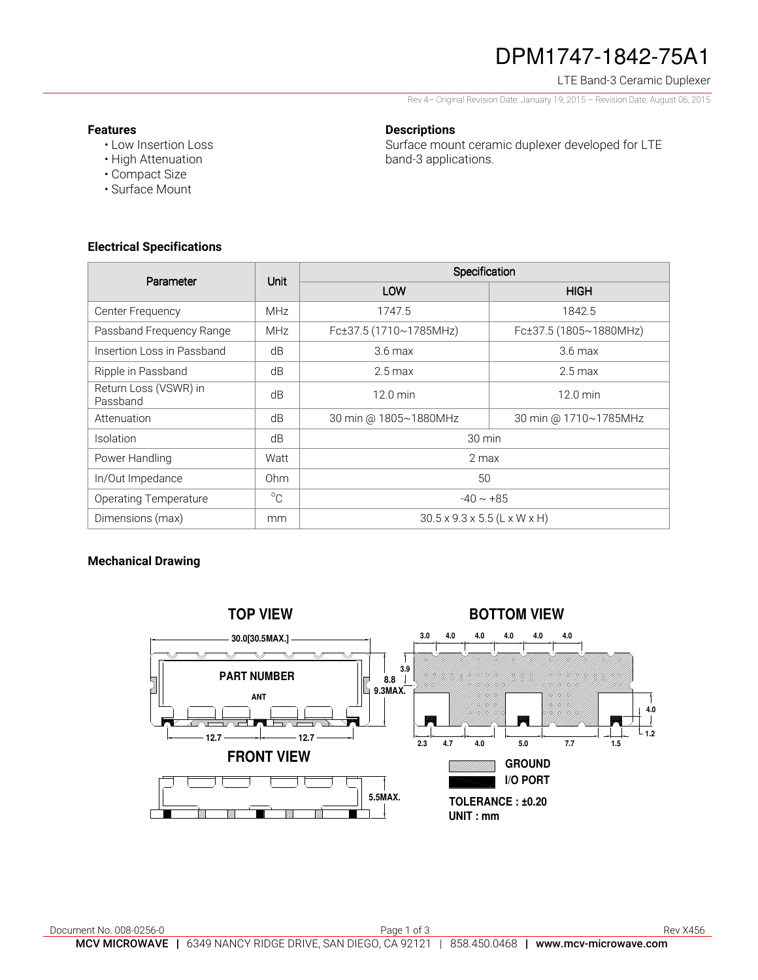# DPM1747-1842-75A1

## LTE Band-3 Ceramic Duplexer

Rev 4– Original Revision Date: January 19, 2015 – Revision Date: August 06, 2015

#### **Features**

• Low Insertion Loss • High Attenuation

## **Descriptions**

Surface mount ceramic duplexer developed for LTE band-3 applications.

**Electrical Specifications** 

• Compact Size • Surface Mount

| Parameter                         | Unit        | Specification                            |                        |
|-----------------------------------|-------------|------------------------------------------|------------------------|
|                                   |             | LOW                                      | <b>HIGH</b>            |
| Center Frequency                  | <b>MHz</b>  | 1747.5                                   | 1842.5                 |
| Passband Frequency Range          | <b>MHz</b>  | Fc±37.5 (1710~1785MHz)                   | Fc±37.5 (1805~1880MHz) |
| Insertion Loss in Passband        | dB          | $3.6 \text{ max}$                        | $3.6 \text{ max}$      |
| Ripple in Passband                | dB          | $2.5 \text{ max}$                        | $2.5 \,\mathrm{max}$   |
| Return Loss (VSWR) in<br>Passband | dB          | $12.0 \text{ min}$                       | $12.0 \text{ min}$     |
| Attenuation                       | dB          | 30 min @ 1805~1880MHz                    | 30 min @ 1710~1785MHz  |
| <b>Isolation</b>                  | dB          | 30 min                                   |                        |
| Power Handling                    | Watt        | 2 max                                    |                        |
| In/Out Impedance                  | Ohm         | 50                                       |                        |
| <b>Operating Temperature</b>      | $^{\circ}C$ | $-40 \sim +85$                           |                        |
| Dimensions (max)                  | mm          | $30.5 \times 9.3 \times 5.5$ (L x W x H) |                        |

## **Mechanical Drawing**

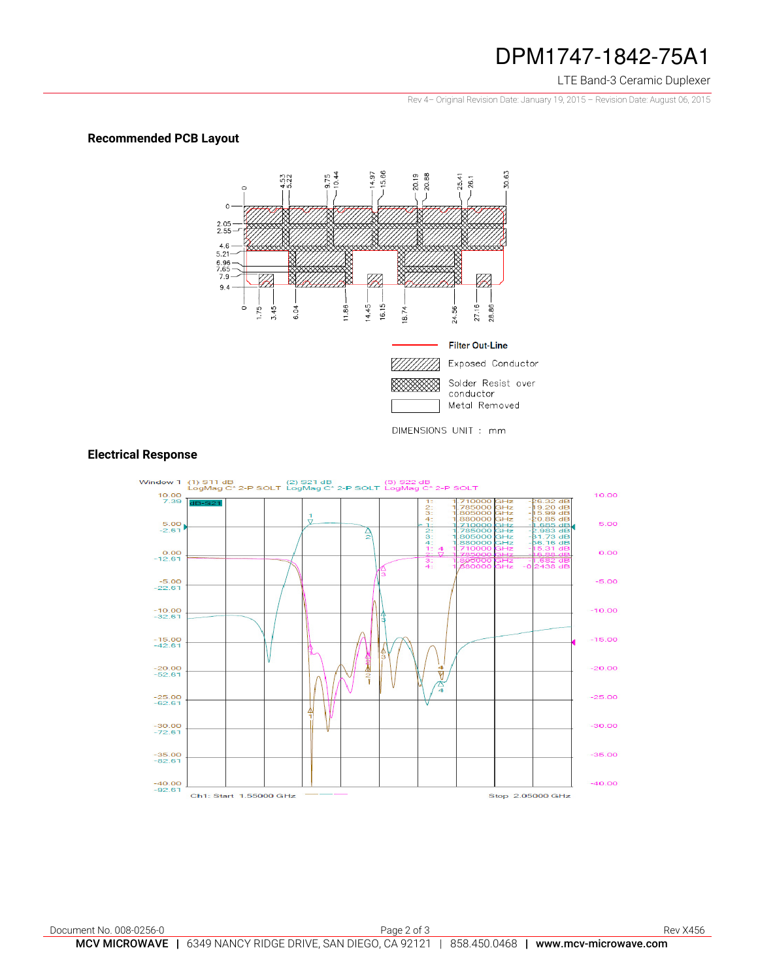## DPM1747-1842-75A1

#### LTE Band-3 Ceramic Duplexer

Rev 4– Original Revision Date: January 19, 2015 – Revision Date: August 06, 2015

## **Recommended PCB Layout**



## **Electrical Response**